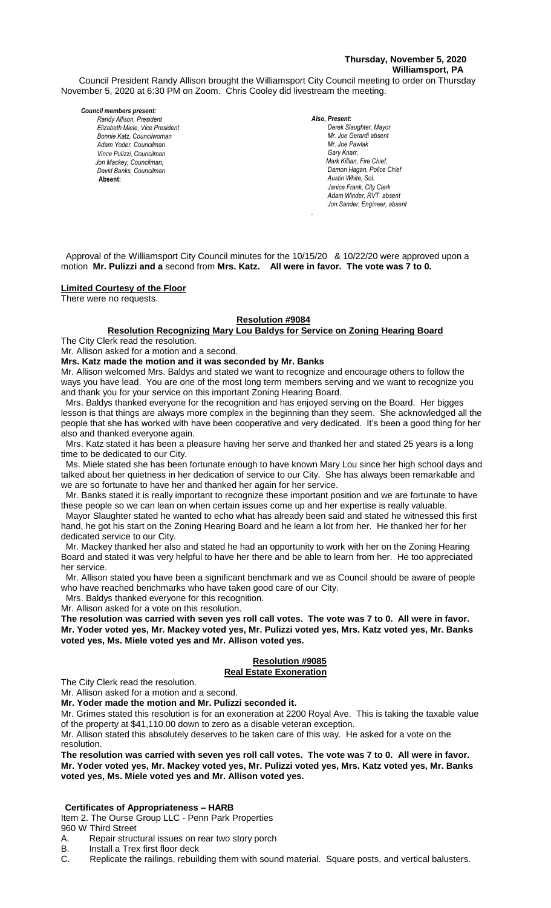# **Thursday, November 5, 2020 Williamsport, PA**

Council President Randy Allison brought the Williamsport City Council meeting to order on Thursday November 5, 2020 at 6:30 PM on Zoom. Chris Cooley did livestream the meeting.

#### *Council members present:*

*Randy Allison, President , President Elizabeth Miele, Vice President Bill Hall, Councilman Bonnie Katz, Councilwoman Adam Yoder, Councilman Vince Pulizzi, Councilman Jon Mackey, Councilman, David Banks, Councilman*  **Absent:** 

*Also, Present:*  **Derek Slaughter, Mayor** *Mr. Joe Gerardi absent Mr. Joseph Pawlak Mr. Joe Pawlak Gary Knarr, Mark Killian, Fire Chief,* **Damon Hagan, Police Chief** *Austin White, Sol. Janice Frank, City Clerk*  $Adam$  *Winder, RVT absent Jon Sander, Engineer, absent*

 Approval of the Williamsport City Council minutes for the 10/15/20 & 10/22/20 were approved upon a motion **Mr. Pulizzi and a** second from **Mrs. Katz. All were in favor. The vote was 7 to 0.** 

*.*

### **Limited Courtesy of the Floor**

There were no requests.

# **Resolution #9084**

### **Resolution Recognizing Mary Lou Baldys for Service on Zoning Hearing Board** *Mr. Tom Cillo C. Dean Heinbach, Fire Chief Dave Young, Police Chief Chief Heinbach absent*

The City Clerk read the resolution. Mr. Allison asked for a motion and a second.

**Mrs. Katz made the motion and it was seconded by Mr. Banks**

Mr. Allison welcomed Mrs. Baldys and stated we want to recognize and encourage others to follow the ways you have lead. You are one of the most long term members serving and we want to recognize you and thank you for your service on this important Zoning Hearing Board.

 Mrs. Baldys thanked everyone for the recognition and has enjoyed serving on the Board. Her bigges lesson is that things are always more complex in the beginning than they seem. She acknowledged all the people that she has worked with have been cooperative and very dedicated. It's been a good thing for her *Members of News Media* also and thanked everyone again.

 Mrs. Katz stated it has been a pleasure having her serve and thanked her and stated 25 years is a long time to be dedicated to our City.

 Ms. Miele stated she has been fortunate enough to have known Mary Lou since her high school days and talked about her quietness in her dedication of service to our City. She has always been remarkable and we are so fortunate to have her and thanked her again for her service.

 Mr. Banks stated it is really important to recognize these important position and we are fortunate to have these people so we can lean on when certain issues come up and her expertise is really valuable.

 Mayor Slaughter stated he wanted to echo what has already been said and stated he witnessed this first hand, he got his start on the Zoning Hearing Board and he learn a lot from her. He thanked her for her dedicated service to our City.

 Mr. Mackey thanked her also and stated he had an opportunity to work with her on the Zoning Hearing Board and stated it was very helpful to have her there and be able to learn from her. He too appreciated her service.

 Mr. Allison stated you have been a significant benchmark and we as Council should be aware of people who have reached benchmarks who have taken good care of our City.

Mrs. Baldys thanked everyone for this recognition.

Mr. Allison asked for a vote on this resolution.

**The resolution was carried with seven yes roll call votes. The vote was 7 to 0. All were in favor. Mr. Yoder voted yes, Mr. Mackey voted yes, Mr. Pulizzi voted yes, Mrs. Katz voted yes, Mr. Banks voted yes, Ms. Miele voted yes and Mr. Allison voted yes.**

### **Resolution #9085 Real Estate Exoneration**

The City Clerk read the resolution.

Mr. Allison asked for a motion and a second.

**Mr. Yoder made the motion and Mr. Pulizzi seconded it.**

Mr. Grimes stated this resolution is for an exoneration at 2200 Royal Ave. This is taking the taxable value of the property at \$41,110.00 down to zero as a disable veteran exception.

Mr. Allison stated this absolutely deserves to be taken care of this way. He asked for a vote on the resolution.

**The resolution was carried with seven yes roll call votes. The vote was 7 to 0. All were in favor. Mr. Yoder voted yes, Mr. Mackey voted yes, Mr. Pulizzi voted yes, Mrs. Katz voted yes, Mr. Banks voted yes, Ms. Miele voted yes and Mr. Allison voted yes.**

# **Certificates of Appropriateness – HARB**

Item 2. The Ourse Group LLC - Penn Park Properties

960 W Third Street

A. Repair structural issues on rear two story porch<br>B. Install a Trex first floor deck

Install a Trex first floor deck

C. Replicate the railings, rebuilding them with sound material. Square posts, and vertical balusters.